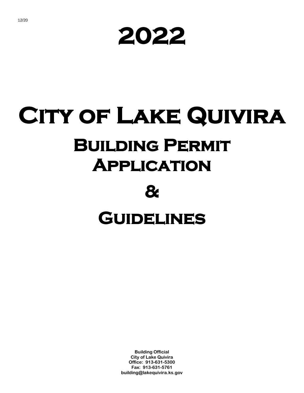**2022** 

# **City of Lake Quivira Building Permit Application & Guidelines**

**Building Official City of Lake Quivira Office: 913-631-5300 Fax: 913-631-5761 building@lakequivira.ks.gov**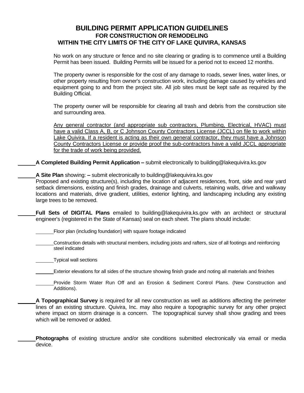### **BUILDING PERMIT APPLICATION GUIDELINES FOR CONSTRUCTION OR REMODELING WITHIN THE CITY LIMITS OF THE CITY OF LAKE QUIVIRA, KANSAS**

No work on any structure or fence and no site clearing or grading is to commence until a Building Permit has been issued. Building Permits will be issued for a period not to exceed 12 months.

The property owner is responsible for the cost of any damage to roads, sewer lines, water lines, or other property resulting from owner's construction work, including damage caused by vehicles and equipment going to and from the project site. All job sites must be kept safe as required by the Building Official.

The property owner will be responsible for clearing all trash and debris from the construction site and surrounding area.

Any general contractor (and appropriate sub contractors, Plumbing, Electrical, HVAC) must have a valid Class A, B, or C Johnson County Contractors License (JCCL) on file to work within Lake Quivira. If a resident is acting as their own general contractor, they must have a Johnson County Contractors License or provide proof the sub-contractors have a valid JCCL appropriate for the trade of work being provided.

**A Completed Building Permit Application –** submit electronically to building@lakequivira.ks.gov

**A Site Plan** showing: **–** submit electronically to building@lakequivira.ks.gov

Proposed and existing structure(s), including the location of adjacent residences, front, side and rear yard setback dimensions, existing and finish grades, drainage and culverts, retaining walls, drive and walkway locations and materials, drive gradient, utilities, exterior lighting, and landscaping including any existing large trees to be removed.

**Full Sets of DIGITAL Plans** emailed to building@lakequivira.ks.gov with an architect or structural engineer's (registered in the State of Kansas) seal on each sheet. The plans should include:

Floor plan (including foundation) with square footage indicated

Construction details with structural members, including joists and rafters, size of all footings and reinforcing steel indicated

Typical wall sections

Exterior elevations for all sides of the structure showing finish grade and noting all materials and finishes

Provide Storm Water Run Off and an Erosion & Sediment Control Plans. (New Construction and Additions).

**A Topographical Survey** is required for all new construction as well as additions affecting the perimeter lines of an existing structure. Quivira, Inc. may also require a topographic survey for any other project where impact on storm drainage is a concern. The topographical survey shall show grading and trees which will be removed or added.

**Photographs** of existing structure and/or site conditions submitted electronically via email or media device.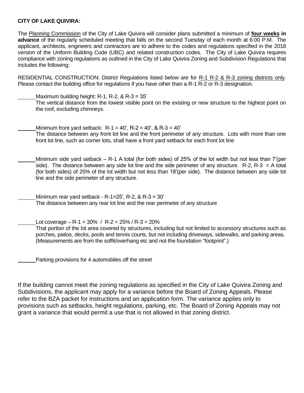#### **CITY OF LAKE QUIVIRA:**

The Planning Commission of the City of Lake Quivira will consider plans submitted a minimum of **four weeks in advance** of the regularly scheduled meeting that falls on the second Tuesday of each month at 6:00 P.M. The applicant, architects, engineers and contractors are to adhere to the codes and regulations specified in the 2018 version of the Uniform Building Code (UBC) and related construction codes. The City of Lake Quivira requires compliance with zoning regulations as outlined in the City of Lake Quivira Zoning and Subdivision Regulations that includes the following:

RESIDENTIAL CONSTRUCTION: District Regulations listed below are for R-1 R-2 & R-3 zoning districts only. Please contact the building office for regulations if you have other than a R-1 R-2 or R-3 designation.

Maximum building height: R-1, R-2, & R-3 = 35'

The vertical distance from the lowest visible point on the existing or new structure to the highest point on the roof, excluding chimneys.

Minimum front yard setback:  $R - 1 = 40$ ',  $R - 2 = 40$ ', &  $R - 3 = 40$ ' The distance between any front lot line and the front perimeter of any structure. Lots with more than one front lot line, such as corner lots, shall have a front yard setback for each front lot line

Minimum side yard setback – R-1 A total (for both sides) of 25% of the lot width but not less than 7'(per side). The distance between any side lot line and the side perimeter of any structure.  $R-2$ ,  $R-3 = A$  total (for both sides) of 25% of the lot width but not less than 18'(per side). The distance between any side lot line and the side perimeter of any structure.

Minimum rear yard setback - R-1=25', R-2, & R-3 =  $30'$ The distance between any rear lot line and the rear perimeter of any structure

Lot coverage – R-1 =  $30\%$  / R-2 =  $25\%$  / R-3 =  $20\%$ 

That portion of the lot area covered by structures, including but not limited to accessory structures such as porches, patios, decks, pools and tennis courts, but not including driveways, sidewalks, and parking areas. (Measurements are from the soffit/overhang etc and not the foundation "footprint".)

Parking provisions for 4 automobiles off the street

If the building cannot meet the zoning regulations as specified in the City of Lake Quivira Zoning and Subdivisions, the applicant may apply for a variance before the Board of Zoning Appeals. Please refer to the BZA packet for instructions and an application form. The variance applies only to provisions such as setbacks, height regulations, parking, etc. The Board of Zoning Appeals may not grant a variance that would permit a use that is not allowed in that zoning district.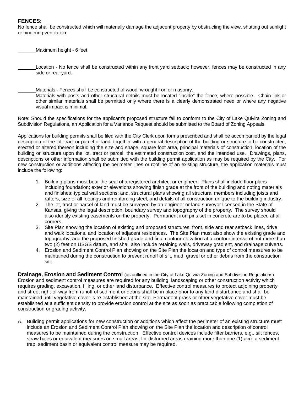#### **FENCES:**

No fence shall be constructed which will materially damage the adjacent property by obstructing the view, shutting out sunlight or hindering ventilation.

Maximum height - 6 feet

Location - No fence shall be constructed within any front yard setback; however, fences may be constructed in any side or rear yard.

Materials - Fences shall be constructed of wood, wrought iron or masonry. Materials with posts and other structural details must be located "inside" the fence, where possible. Chain-link or other similar materials shall be permitted only where there is a clearly demonstrated need or where any negative visual impact is minimal.

Note: Should the specifications for the applicant's proposed structure fail to conform to the City of Lake Quivira Zoning and Subdivision Regulations, an Application for a Variance Request should be submitted to the Board of Zoning Appeals.

Applications for building permits shall be filed with the City Clerk upon forms prescribed and shall be accompanied by the legal description of the lot, tract or parcel of land, together with a general description of the building or structure to be constructed, erected or altered thereon including the size and shape, square foot area, principal materials of construction, location of the building or structure upon the lot, tract or parcel, the estimated construction cost, and the intended use. Drawings, plans, descriptions or other information shall be submitted with the building permit application as may be required by the City. For new construction or additions affecting the perimeter lines or roofline of an existing structure, the application materials must include the following:

- 1. Building plans must bear the seal of a registered architect or engineer. Plans shall include floor plans including foundation; exterior elevations showing finish grade at the front of the building and noting materials and finishes; typical wall sections; and, structural plans showing all structural members including joists and rafters, size of all footings and reinforcing steel, and details of all construction unique to the building industry.
- 2. The lot, tract or parcel of land must be surveyed by an engineer or land surveyor licensed in the State of Kansas, giving the legal description, boundary survey and topography of the property. The survey should also identify existing easements on the property. Permanent iron pins set in concrete are to be placed at all corners.
- 3. Site Plan showing the location of existing and proposed structures, front, side and rear setback lines, drive and walk locations, and location of adjacent residences. The Site Plan must also show the existing grade and topography, and the proposed finished grade and final contour elevation at a contour interval of not more than two (2) feet on USGS datum, and shall also include retaining walls, driveway gradient, and drainage culverts.
- 4. Erosion and Sediment Control Plan showing on the Site Plan the location and type of control measures to be maintained during the construction to prevent runoff of silt, mud, gravel or other debris from the construction site.

**Drainage, Erosion and Sediment Control** (as outlined in the City of Lake Quivira Zoning and Subdivision Regulations) Erosion and sediment control measures are required for any building, landscaping or other construction activity which requires grading, excavation, filling, or other land disturbance. Effective control measures to protect adjoining property and street right-of-way from runoff of sediment or debris shall be in place prior to any land disturbance and shall be maintained until vegetative cover is re-established at the site. Permanent grass or other vegetative cover must be established at a sufficient density to provide erosion control at the site as soon as practicable following completion of construction or grading activity.

A. Building permit applications for new construction or additions which affect the perimeter of an existing structure must include an Erosion and Sediment Control Plan showing on the Site Plan the location and description of control measures to be maintained during the construction. Effective control devices include filter barriers, e.g., silt fences, straw bales or equivalent measures on small areas; for disturbed areas draining more than one (1) acre a sediment trap, sediment basin or equivalent control measure may be required.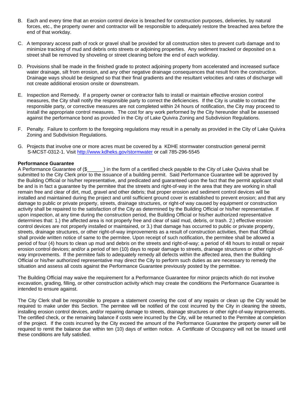- B. Each and every time that an erosion control device is breached for construction purposes, deliveries, by natural forces, etc., the property owner and contractor will be responsible to adequately restore the breached area before the end of that workday.
- C. A temporary access path of rock or gravel shall be provided for all construction sites to prevent curb damage and to minimize tracking of mud and debris onto streets or adjoining properties. Any sediment tracked or deposited on a street shall be removed by shoveling or street cleaning before the end of each workday.
- D. Provisions shall be made in the finished grade to protect adjoining property from accelerated and increased surface water drainage, silt from erosion, and any other negative drainage consequences that result from the construction. Drainage ways should be designed so that their final gradients and the resultant velocities and rates of discharge will not create additional erosion onsite or downstream.
- E. Inspection and Remedy. If a property owner or contractor fails to install or maintain effective erosion control measures, the City shall notify the responsible party to correct the deficiencies. If the City is unable to contact the responsible party, or corrective measures are not completed within 24 hours of notification, the City may proceed to install the appropriate control measures. The cost for any work performed by the City hereunder shall be assessed against the performance bond as provided in the City of Lake Quivira Zoning and Subdivision Regulations.
- F. Penalty. Failure to conform to the foregoing regulations may result in a penalty as provided in the City of Lake Quivira Zoning and Subdivision Regulations.
- G. Projects that involve one or more acres must be covered by a KDHE stormwater construction general permit S-MCST-0312-1. Visit<http://www.kdheks.gov/stormwater> or call 785-296-5545

#### **Performance Guarantee**

A Performance Guarantee of (\$\_\_\_\_\_\_) in the form of a certified check payable to the City of Lake Quivira shall be submitted to the City Clerk prior to the issuance of a building permit. Said Performance Guarantee will be approved by the Building Official or his/her representative, and predicated and guaranteed upon the fact that the permit applicant shall be and is in fact a guarantee by the permitee that the streets and right-of-way in the area that they are working in shall remain free and clear of dirt, mud, gravel and other debris; that proper erosion and sediment control devices will be installed and maintained during the project and until sufficient ground cover is established to prevent erosion; and that any damage to public or private property, streets, drainage structures, or right-of way caused by equipment or construction activity shall be repaired to the satisfaction of the City as determined by the Building Official or his/her representative. If upon inspection, at any time during the construction period, the Building Official or his/her authorized representative determines that: 1.) the affected area is not properly free and clear of said mud, debris, or trash. 2.) effective erosion control devices are not properly installed or maintained, or 3.) that damage has occurred to public or private property, streets, drainage structures, or other right-of-way improvements as a result of construction activities, then that Official shall provide written notice of same to the permitee. Upon receipt of such notification, the permitee shall be allowed a period of four (4) hours to clean up mud and debris on the streets and right-of-way; a period of 48 hours to install or repair erosion control devices; and/or a period of ten (10) days to repair damage to streets, drainage structures or other right-ofway improvements. If the permitee fails to adequately remedy all defects within the affected area, then the Building Official or his/her authorized representative may direct the City to perform such duties as are necessary to remedy the situation and assess all costs against the Performance Guarantee previously posted by the permittee.

The Building Official may waive the requirement for a Performance Guarantee for minor projects which do not involve excavation, grading, filling, or other construction activity which may create the conditions the Performance Guarantee is intended to ensure against.

The City Clerk shall be responsible to prepare a statement covering the cost of any repairs or clean up the City would be required to make under this Section. The permitee will be notified of the cost incurred by the City in cleaning the streets, installing erosion control devices, and/or repairing damage to streets, drainage structures or other right-of-way improvements. The certified check, or the remaining balance if costs were incurred by the City, will be returned to the Permitee at completion of the project. If the costs incurred by the City exceed the amount of the Performance Guarantee the property owner will be required to remit the balance due within ten (10) days of written notice. A Certificate of Occupancy will not be issued until these conditions are fully satisfied.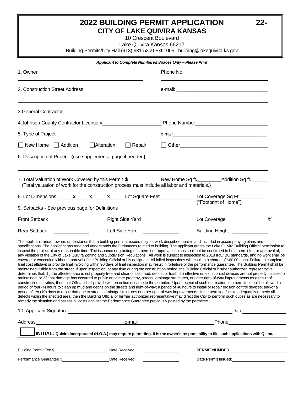## **2022 BUILDING PERMIT APPLICATION 22- CITY OF LAKE QUIVIRA KANSAS**

10 Crescent Boulevard

Lake Quivira Kansas 66217

Building Permits/City Hall (913) 631-5300 Ext.1005 building@lakequivira.ks.gov

|                                                                                                                                                                                                                                                                                                                                                                                                                                                                                                                                                                                                                                                                                                                                                                                                                                                                                                                                                                                                                                                                                                                                                                                                                                                                                                                                                                                                                                                                                                                                                                                                                                                                                                                                                                                                                                                                                                                                                                                                                                                                                                                                                                                                                                                                                                                           | Applicant to Complete Numbered Spaces Only - Please Print                                                                                                                                                                            |                                                                                                                                                                                                                                     |                                                                                                                                                                                                                                |  |  |
|---------------------------------------------------------------------------------------------------------------------------------------------------------------------------------------------------------------------------------------------------------------------------------------------------------------------------------------------------------------------------------------------------------------------------------------------------------------------------------------------------------------------------------------------------------------------------------------------------------------------------------------------------------------------------------------------------------------------------------------------------------------------------------------------------------------------------------------------------------------------------------------------------------------------------------------------------------------------------------------------------------------------------------------------------------------------------------------------------------------------------------------------------------------------------------------------------------------------------------------------------------------------------------------------------------------------------------------------------------------------------------------------------------------------------------------------------------------------------------------------------------------------------------------------------------------------------------------------------------------------------------------------------------------------------------------------------------------------------------------------------------------------------------------------------------------------------------------------------------------------------------------------------------------------------------------------------------------------------------------------------------------------------------------------------------------------------------------------------------------------------------------------------------------------------------------------------------------------------------------------------------------------------------------------------------------------------|--------------------------------------------------------------------------------------------------------------------------------------------------------------------------------------------------------------------------------------|-------------------------------------------------------------------------------------------------------------------------------------------------------------------------------------------------------------------------------------|--------------------------------------------------------------------------------------------------------------------------------------------------------------------------------------------------------------------------------|--|--|
| 1. Owner                                                                                                                                                                                                                                                                                                                                                                                                                                                                                                                                                                                                                                                                                                                                                                                                                                                                                                                                                                                                                                                                                                                                                                                                                                                                                                                                                                                                                                                                                                                                                                                                                                                                                                                                                                                                                                                                                                                                                                                                                                                                                                                                                                                                                                                                                                                  |                                                                                                                                                                                                                                      | Phone No.                                                                                                                                                                                                                           |                                                                                                                                                                                                                                |  |  |
| 2. Construction Street Address                                                                                                                                                                                                                                                                                                                                                                                                                                                                                                                                                                                                                                                                                                                                                                                                                                                                                                                                                                                                                                                                                                                                                                                                                                                                                                                                                                                                                                                                                                                                                                                                                                                                                                                                                                                                                                                                                                                                                                                                                                                                                                                                                                                                                                                                                            |                                                                                                                                                                                                                                      |                                                                                                                                                                                                                                     |                                                                                                                                                                                                                                |  |  |
|                                                                                                                                                                                                                                                                                                                                                                                                                                                                                                                                                                                                                                                                                                                                                                                                                                                                                                                                                                                                                                                                                                                                                                                                                                                                                                                                                                                                                                                                                                                                                                                                                                                                                                                                                                                                                                                                                                                                                                                                                                                                                                                                                                                                                                                                                                                           |                                                                                                                                                                                                                                      |                                                                                                                                                                                                                                     |                                                                                                                                                                                                                                |  |  |
|                                                                                                                                                                                                                                                                                                                                                                                                                                                                                                                                                                                                                                                                                                                                                                                                                                                                                                                                                                                                                                                                                                                                                                                                                                                                                                                                                                                                                                                                                                                                                                                                                                                                                                                                                                                                                                                                                                                                                                                                                                                                                                                                                                                                                                                                                                                           |                                                                                                                                                                                                                                      |                                                                                                                                                                                                                                     |                                                                                                                                                                                                                                |  |  |
| 5. Type of Project                                                                                                                                                                                                                                                                                                                                                                                                                                                                                                                                                                                                                                                                                                                                                                                                                                                                                                                                                                                                                                                                                                                                                                                                                                                                                                                                                                                                                                                                                                                                                                                                                                                                                                                                                                                                                                                                                                                                                                                                                                                                                                                                                                                                                                                                                                        |                                                                                                                                                                                                                                      |                                                                                                                                                                                                                                     |                                                                                                                                                                                                                                |  |  |
| $\Box$ New Home $\Box$ Addition                                                                                                                                                                                                                                                                                                                                                                                                                                                                                                                                                                                                                                                                                                                                                                                                                                                                                                                                                                                                                                                                                                                                                                                                                                                                                                                                                                                                                                                                                                                                                                                                                                                                                                                                                                                                                                                                                                                                                                                                                                                                                                                                                                                                                                                                                           | Alteration<br>$\Box$ Repair                                                                                                                                                                                                          | Dether <u>Communication</u> Communication Communication Communication Communication Communication Communication Communication Communication Communication Communication Communication Communication Communication Communication Com |                                                                                                                                                                                                                                |  |  |
| 6. Description of Project : (use supplemental page if needed)                                                                                                                                                                                                                                                                                                                                                                                                                                                                                                                                                                                                                                                                                                                                                                                                                                                                                                                                                                                                                                                                                                                                                                                                                                                                                                                                                                                                                                                                                                                                                                                                                                                                                                                                                                                                                                                                                                                                                                                                                                                                                                                                                                                                                                                             |                                                                                                                                                                                                                                      |                                                                                                                                                                                                                                     |                                                                                                                                                                                                                                |  |  |
| 7. Total Valuation of Work Covered by this Permit \$_____________New Home Sq ft.__________Addition Sq ft.______<br>(Total valuation of work for the construction process must include all labor and materials.)<br>8. Lot Dimensions x x x Lot Square Feet Lot Coverage Sq Ft.                                                                                                                                                                                                                                                                                                                                                                                                                                                                                                                                                                                                                                                                                                                                                                                                                                                                                                                                                                                                                                                                                                                                                                                                                                                                                                                                                                                                                                                                                                                                                                                                                                                                                                                                                                                                                                                                                                                                                                                                                                            |                                                                                                                                                                                                                                      |                                                                                                                                                                                                                                     |                                                                                                                                                                                                                                |  |  |
| 9. Setbacks - See previous page for Definitions                                                                                                                                                                                                                                                                                                                                                                                                                                                                                                                                                                                                                                                                                                                                                                                                                                                                                                                                                                                                                                                                                                                                                                                                                                                                                                                                                                                                                                                                                                                                                                                                                                                                                                                                                                                                                                                                                                                                                                                                                                                                                                                                                                                                                                                                           |                                                                                                                                                                                                                                      |                                                                                                                                                                                                                                     | ("Footprint of Home")                                                                                                                                                                                                          |  |  |
| Front Setback <u>_________________</u>                                                                                                                                                                                                                                                                                                                                                                                                                                                                                                                                                                                                                                                                                                                                                                                                                                                                                                                                                                                                                                                                                                                                                                                                                                                                                                                                                                                                                                                                                                                                                                                                                                                                                                                                                                                                                                                                                                                                                                                                                                                                                                                                                                                                                                                                                    | Right Side Yard _____________                                                                                                                                                                                                        |                                                                                                                                                                                                                                     | Lot Coverage ______________%                                                                                                                                                                                                   |  |  |
| Rear Setback <u>Next Rear Setback</u>                                                                                                                                                                                                                                                                                                                                                                                                                                                                                                                                                                                                                                                                                                                                                                                                                                                                                                                                                                                                                                                                                                                                                                                                                                                                                                                                                                                                                                                                                                                                                                                                                                                                                                                                                                                                                                                                                                                                                                                                                                                                                                                                                                                                                                                                                     | Left Side Yard <u>New York New York New York New York New York New York New York New York New York New York New York New York New York New York New York New York New York New York New York New York New York New York New York</u> |                                                                                                                                                                                                                                     | Building Height <b>Name and Taylor Property</b>                                                                                                                                                                                |  |  |
| The applicant, and/or owner, understands that a building permit is issued only for work described here-in and included in accompanying plans and<br>specifications. The applicant has read and understands the Ordnances related to building. The applicant grants the Lake Quivira Building Official permission to<br>inspect the project at any reasonable time. The issuance or granting of a permit or approval of plans shall not be construed to be a permit for, or approval of,<br>any violation of the City of Lake Quivira Zoning and Subdivision Regulations. All work is subject to inspection to 2018 IRC/IBC standards, and no work shall be<br>covered or concealed without approval of the Building Official or his designee. All failed inspections will result in a charge of \$60.00 each. Failure to complete<br>final cost affidavit or provide final invoicing within 90 days of final inspection may result in forfeiture of the performance guarantee. The Building Permit shall be<br>maintained visible from the street. If upon inspection, at any time during the construction period, the Building Official or his/her authorized representative<br>determines that: 1.) the affected area is not properly free and clear of said mud, debris, or trash. 2.) effective erosion control devices are not properly installed or<br>maintained, or 3.) that damage has occurred to public or private property, streets, drainage structures, or other right-of-way improvements as a result of<br>construction activities, then that Official shall provide written notice of same to the permitee. Upon receipt of such notification, the permitee shall be allowed a<br>period of four (4) hours to clean up mud and debris on the streets and right-of-way; a period of 48 hours to install or repair erosion control devices; and/or a<br>period of ten (10) days to repair damage to streets, drainage structures or other right-of-way improvements. If the permitee fails to adequately remedy all<br>defects within the affected area, then the Building Official or his/her authorized representative may direct the City to perform such duties as are necessary to<br>remedy the situation and assess all costs against the Performance Guarantee previously posted by the permittee. |                                                                                                                                                                                                                                      |                                                                                                                                                                                                                                     |                                                                                                                                                                                                                                |  |  |
| 10. Applicant Signature experience of the contract of the contract of the contract of the contract of the contract of the contract of the contract of the contract of the contract of the contract of the contract of the cont                                                                                                                                                                                                                                                                                                                                                                                                                                                                                                                                                                                                                                                                                                                                                                                                                                                                                                                                                                                                                                                                                                                                                                                                                                                                                                                                                                                                                                                                                                                                                                                                                                                                                                                                                                                                                                                                                                                                                                                                                                                                                            |                                                                                                                                                                                                                                      |                                                                                                                                                                                                                                     | Date and the state of the state of the state of the state of the state of the state of the state of the state of the state of the state of the state of the state of the state of the state of the state of the state of the s |  |  |
|                                                                                                                                                                                                                                                                                                                                                                                                                                                                                                                                                                                                                                                                                                                                                                                                                                                                                                                                                                                                                                                                                                                                                                                                                                                                                                                                                                                                                                                                                                                                                                                                                                                                                                                                                                                                                                                                                                                                                                                                                                                                                                                                                                                                                                                                                                                           | e-mail                                                                                                                                                                                                                               | Phone Phone Phone Phone Phone Phone Phone Phone Phone Phone Phone Phone Phone Phone Phone Phone Phone Phone Phone Phone Phone Phone Phone Phone Phone Phone Phone Phone Phone Phone Phone Phone Phone Phone Phone Phone Phone       |                                                                                                                                                                                                                                |  |  |
|                                                                                                                                                                                                                                                                                                                                                                                                                                                                                                                                                                                                                                                                                                                                                                                                                                                                                                                                                                                                                                                                                                                                                                                                                                                                                                                                                                                                                                                                                                                                                                                                                                                                                                                                                                                                                                                                                                                                                                                                                                                                                                                                                                                                                                                                                                                           | <b>INITIAL:</b> Quivira Incorporated (H.O.A.) may require permitting. It is the owner's responsibility to file such applications with Q. Inc.                                                                                        |                                                                                                                                                                                                                                     |                                                                                                                                                                                                                                |  |  |
| Building Permit Fee \$                                                                                                                                                                                                                                                                                                                                                                                                                                                                                                                                                                                                                                                                                                                                                                                                                                                                                                                                                                                                                                                                                                                                                                                                                                                                                                                                                                                                                                                                                                                                                                                                                                                                                                                                                                                                                                                                                                                                                                                                                                                                                                                                                                                                                                                                                                    | Date Received                                                                                                                                                                                                                        |                                                                                                                                                                                                                                     |                                                                                                                                                                                                                                |  |  |
| Performance Guarantee \$                                                                                                                                                                                                                                                                                                                                                                                                                                                                                                                                                                                                                                                                                                                                                                                                                                                                                                                                                                                                                                                                                                                                                                                                                                                                                                                                                                                                                                                                                                                                                                                                                                                                                                                                                                                                                                                                                                                                                                                                                                                                                                                                                                                                                                                                                                  | Date Received                                                                                                                                                                                                                        |                                                                                                                                                                                                                                     | Date Permit Issued: <b>Mateural Property Permit Issued:</b>                                                                                                                                                                    |  |  |